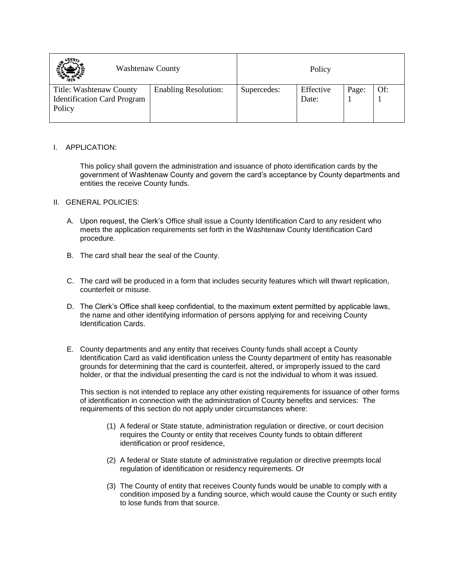| COUNTS.<br><b>Washtenaw County</b>                                      |                             | Policy      |                    |       |     |
|-------------------------------------------------------------------------|-----------------------------|-------------|--------------------|-------|-----|
| Title: Washtenaw County<br><b>Identification Card Program</b><br>Policy | <b>Enabling Resolution:</b> | Supercedes: | Effective<br>Date: | Page: | Of: |

## I. APPLICATION:

This policy shall govern the administration and issuance of photo identification cards by the government of Washtenaw County and govern the card's acceptance by County departments and entities the receive County funds.

## II. GENERAL POLICIES:

- A. Upon request, the Clerk's Office shall issue a County Identification Card to any resident who meets the application requirements set forth in the Washtenaw County Identification Card procedure.
- B. The card shall bear the seal of the County.
- C. The card will be produced in a form that includes security features which will thwart replication, counterfeit or misuse.
- D. The Clerk's Office shall keep confidential, to the maximum extent permitted by applicable laws, the name and other identifying information of persons applying for and receiving County Identification Cards.
- E. County departments and any entity that receives County funds shall accept a County Identification Card as valid identification unless the County department of entity has reasonable grounds for determining that the card is counterfeit, altered, or improperly issued to the card holder, or that the individual presenting the card is not the individual to whom it was issued.

This section is not intended to replace any other existing requirements for issuance of other forms of identification in connection with the administration of County benefits and services: The requirements of this section do not apply under circumstances where:

- (1) A federal or State statute, administration regulation or directive, or court decision requires the County or entity that receives County funds to obtain different identification or proof residence,
- (2) A federal or State statute of administrative regulation or directive preempts local regulation of identification or residency requirements. Or
- (3) The County of entity that receives County funds would be unable to comply with a condition imposed by a funding source, which would cause the County or such entity to lose funds from that source.